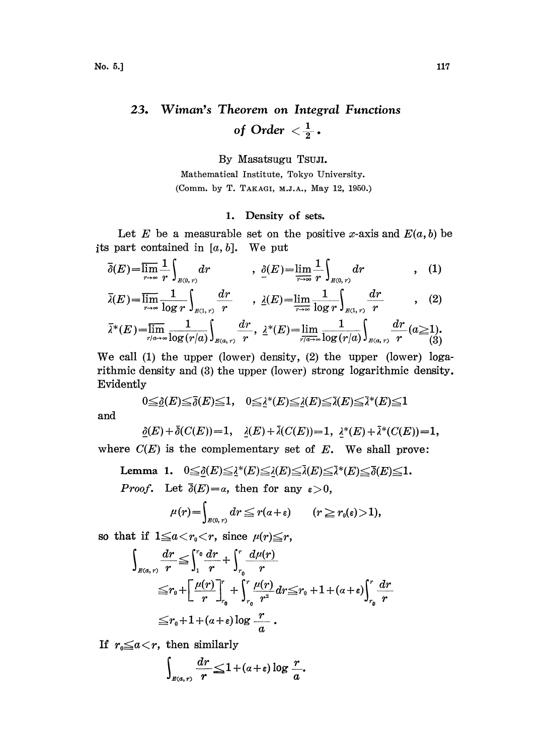# $23.$ Wiman's Theorem on Integral Functions of Order  $<\frac{1}{2}$  .

By Masatsugu TsuJI.

Mathematical Institute, Tokyo University. (Comm. by T. TAKAGI, M.J.A., May 12, 1950.)

#### 1. Density of sets.

Let E be a measurable set on the positive x-axis and  $E(a, b)$  be its part contained in  $[a, b]$ . We put

$$
\overline{\delta}(E) = \overline{\lim_{r \to \infty}} \frac{1}{r} \int_{E(0, r)} dr \qquad , \quad \underline{\delta}(E) = \underline{\lim_{r \to \infty}} \frac{1}{r} \int_{E(0, r)} dr \qquad , \quad (1)
$$

$$
\overline{\lambda}(E) = \overline{\lim}_{r \to \infty} \frac{1}{\log r} \int_{B(1,r)} \frac{dr}{r}, \quad \lambda(E) = \overline{\lim}_{r \to \infty} \frac{1}{\log r} \int_{B(1,r)} \frac{dr}{r}, \quad (2)
$$
\n
$$
\overline{\lambda}^*(E) = \overline{\lim}_{r \to \infty} \frac{1}{\log(r/a)} \int_{B(a,r)} \frac{dr}{r}, \quad \lambda^*(E) = \overline{\lim}_{r \to \infty} \frac{1}{\log(r/a)} \int_{B(a,r)} \frac{dr}{r} (a \ge 1).
$$
\n(3)

We call (1) the upper (lower) density, (2) the upper (lower) logarithmic density and (3) the upper (lower) strong logarithmic density. Evidently

$$
0 \leq \underline{\delta}(E) \leq \overline{\delta}(E) \leq 1, \quad 0 \leq \underline{\lambda}^*(E) \leq \underline{\lambda}(E) \leq \overline{\lambda}(E) \leq \overline{\lambda}^*(E) \leq 1
$$

and

$$
\underline{\delta}(E) + \overline{\delta}(C(E)) = 1, \quad \underline{\delta}(E) + \overline{\delta}(C(E)) = 1, \quad \underline{\delta}^*(E) + \overline{\delta}^*(C(E)) = 1,
$$

where  $C(E)$  is the complementary set of  $E$ . We shall prove:

Lemma 1.  $0 \leq \underline{\delta}(E) \leq \underline{\lambda}^*(E) \leq \underline{\lambda}(E) \leq \overline{\lambda}(E) \leq \overline{\lambda}^*(E) \leq \overline{\delta}(E) \leq 1.$ *Proof.* Let  $\bar{\delta}(E)=a$ , then for any  $\epsilon > 0$ ,

$$
\mu(r) = \int_{B(0,\,r)} dr \leqq r(a+\varepsilon) \qquad (r \geqq r_0(\varepsilon) > 1),
$$

so that if  $1 \le a < r_0 < r$ , since  $\mu(r) \le r$ ,

$$
\int_{B(a,r)} \frac{dr}{r} \leq \int_{1}^{r_0} \frac{dr}{r} + \int_{r_0}^{r} \frac{d\mu(r)}{r} \n\leq r_0 + \left[ \frac{\mu(r)}{r} \right]_{r_0}^{r} + \int_{r_0}^{r} \frac{\mu(r)}{r^2} dr \leq r_0 + 1 + (a+\epsilon) \int_{r_0}^{r} \frac{dr}{r} \n\leq r_0 + 1 + (a+\epsilon) \log \frac{r}{a} .
$$

If  $r_0 \leq a < r$ , then similarly

$$
\int_{B(a,r)} \frac{dr}{r} \leq 1 + (a+\varepsilon) \log \frac{r}{a}.
$$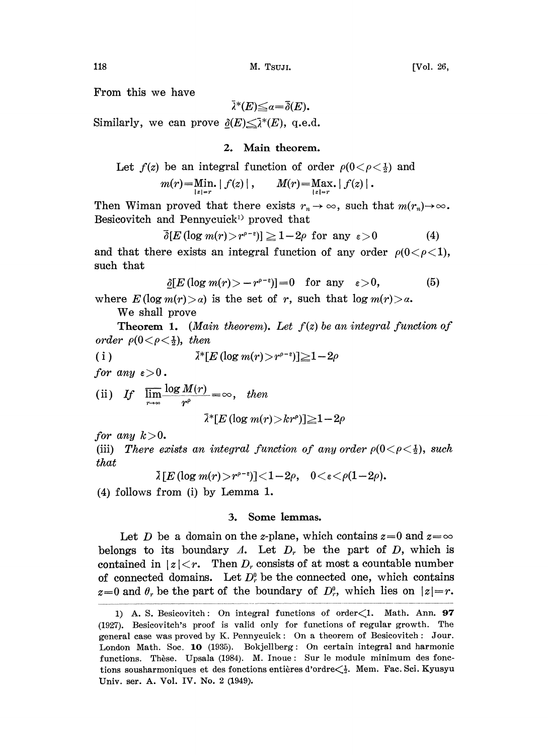From this we have

$$
\bar{\lambda}^*(E) \leq a = \bar{\delta}(E).
$$

Similarly, we can prove  $\partial(E) \leq \bar{\lambda}^*(E)$ , q.e.d.

### 2. Main theorem.

Let 
$$
f(z)
$$
 be an integral function of order  $\rho(0 < \rho < \frac{1}{2})$  and

$$
m(r) = \lim_{|z|=r} |f(z)|, \qquad M(r) = \max_{|z|=r} |f(z)|.
$$

Then Wiman proved that there exists  $r_n \to \infty$ , such that  $m(r_n) \to \infty$ . Besicovitch and Pennycuick<sup>1)</sup> proved that

$$
\overline{\delta}[E(\log m(r)) > r^{\rho - \epsilon})] \ge 1 - 2\rho \text{ for any } \epsilon > 0
$$
 (4)

and that there exists an integral function of any order  $\rho(0<\rho<1)$ , such that

$$
\underline{\delta}[E(\log m(r)) - r^{\rho-\epsilon}] = 0 \quad \text{for any} \quad \epsilon > 0, \tag{5}
$$

where  $E(\log m(r) > a)$  is the set of r, such that  $\log m(r) > a$ . We shall prove

**Theorem 1.** (Main theorem). Let  $f(z)$  be an integral function of order  $\rho(0 < \rho < \frac{1}{2})$ , then

 $\bar{\lambda}^*$ [E (log m(r) > r<sup>e-s</sup>)]  $\geq$ 1 - 2*p*  $(i)$ 

for any  $\varepsilon > 0$ .

(ii) If 
$$
\lim_{r \to \infty} \frac{\log M(r)}{r^{\rho}} = \infty
$$
, then  
 $\bar{\lambda}^*[E(\log m(r)) \geq k r^{\rho})] \geq 1 - 2\rho$ 

for any  $k>0$ .

(iii) There exists an integral function of any order  $\rho(0 < \rho < \frac{1}{2})$ , such that

$$
\bar{\lambda}[E(\log m(r)) > r^{\rho-\varepsilon})] < 1-2\rho, \quad 0 < \varepsilon < \rho(1-2\rho).
$$

(4) follows from (i) by Lemma 1.

# 3. Some lemmas.

Let D be a domain on the z-plane, which contains  $z=0$  and  $z=\infty$ belongs to its boundary A. Let  $D<sub>r</sub>$  be the part of D, which is contained in  $|z| < r$ . Then  $D_r$  consists of at most a countable number of connected domains. Let  $D_r^0$  be the connected one, which contains  $z=0$  and  $\theta_r$  be the part of the boundary of  $D_r^0$ , which lies on  $|z|=r$ .

<sup>1)</sup> A. S. Besicovitch: On integral functions of order  $\langle 1$ . Math. Ann. 97 (1927). Besicovitch's proof is valid only for functions of regular growth. The general case was proved by K. Pennycuick: On a theorem of Besicovitch Jour. London Math. Soc. 10 (1935). Bokjellberg: On certain integral and harmonic functions. Thèse. Upsala (1984). M. Inoue: Sur le module minimum des fonctions sousharmoniques et des fonctions entières d'ordre $\lt_{\frac{1}{2}}$ . Mem. Fac. Sci. Kyusyu Univ. ser. A. Vol. IV. No. 2 (1949).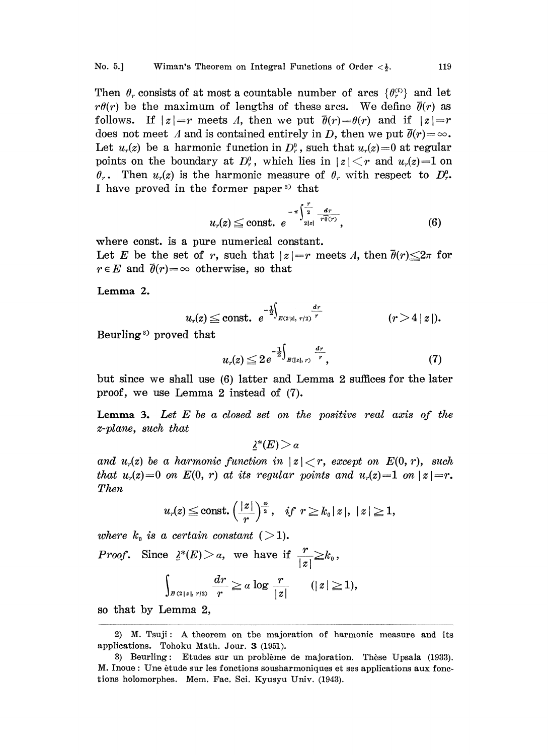Then  $\theta_r$  consists of at most a countable number of arcs  $\{\theta_r^{(i)}\}$  and let  $r\theta(r)$  be the maximum of lengths of these arcs. We define  $\bar{\theta}(r)$  as follows. If  $|z|=r$  meets A, then we put  $\bar{\theta}(r)=\theta(r)$  and if  $|z|=r$ does not meet A and is contained entirely in D, then we put  $\bar{\theta}(r) = \infty$ . Let  $u_r(z)$  be a harmonic function in  $D_r^0$ , such that  $u_r(z)=0$  at regular points on the boundary at  $D_r^0$ , which lies in  $|z| \leq r$  and  $u_r(z)=1$  on  $\theta_r$ . Then  $u_r(z)$  is the harmonic measure of  $\theta_r$  with respect to  $D_r^0$ . I have proved in the former paper<sup>2)</sup> that

$$
u_r(z) \leq \text{const.} \ e^{-\pi \int_{2|z|}^{\frac{r}{2}} \frac{dr}{r \theta(r)}}, \tag{6}
$$

where const, is a pure numerical constant.

Let E be the set of r, such that  $|z|=r$  meets A, then  $\bar{\theta}(r) \leq 2\pi$  for  $r \in E$  and  $\bar{\theta}(r) = \infty$  otherwise, so that

Lemma 2.

$$
u_r(z) \leq \text{const.} \ \ e^{-\frac{1}{2} \int_{B(2|z|, r/2)} \frac{dr}{r}} \qquad (r > 4 |z|).
$$

Beurling<sup>3</sup> proved that

$$
u_r(z) \leq 2e^{-\frac{1}{2}\int_{B(|z|, r)} \frac{dr}{r}}, \tag{7}
$$

but since we shall use (6) latter and Lemma 2 suffices for the later proof, we use Lemma 2 instead of (7).

**Lemma 3.** Let  $E$  be a closed set on the positive real axis of the z-plane, such that

 $\lambda^*(E) > a$ 

and  $u_r(z)$  be a harmonic function in  $|z|< r$ , except on  $E(0, r)$ , such that  $u_r(z)=0$  on  $E(0, r)$  at its regular points and  $u_r(z)=1$  on  $|z|=r$ . Then

$$
u_r(z) \leq \text{const.} \left(\frac{|z|}{r}\right)^{\frac{\alpha}{2}}, \quad \text{if} \ \ r \geq k_0 |z|, \ |z| \geq 1,
$$

where  $k_0$  is a certain constant ( > 1).

*Proof.* Since  $\frac{\lambda^*(E)}{|\mathcal{Z}|} \geq a$ , we have if  $\frac{r}{|\mathcal{Z}|} \geq k_0$ ,

$$
\int_{\mathbb{R}^2\{z\},\;r/2\}}\frac{dr}{r}\geq a\log\frac{r}{|z|}\qquad(|z|\geq 1),
$$

so that by Lemma 2,

<sup>2)</sup> M. Tsuji: A theorem on the majoration of harmonic measure and its applications. Tohoku Math. Jour. 3 (1951).

<sup>3)</sup> Beurling: Etudes sur un problème de majoration. Thèse Upsala (1933). M. Inoue : Une ètude sur les fonctions sousharmoniques et ses applications aux fonctions holomorphes. Mem. Fac. Sci. Kyusyu Univ. (1943).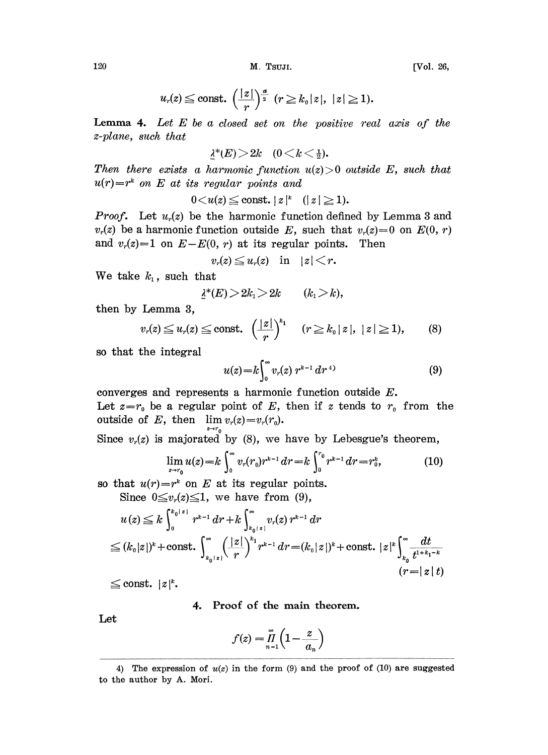120 M. TSUJI. [Vol. 26,

$$
u_r(z) \leq \text{const.} \left(\frac{|z|}{r}\right)^{\frac{\alpha}{2}} \left(r \geq k_0 |z|, |z| \geq 1\right).
$$

**Lemma 4.** Let  $E$  be a closed set on the positive real axis of the z-plane, such that

$$
\underline{\lambda}^*(E) > 2k \quad (0 < k < \frac{1}{2}).
$$

Then there exists a harmonic function  $u(z) > 0$  outside E, such that  $u(r) = r^k$  on E at its regular points and

$$
0\!<\!u(z)\!\leq\!\mathrm{const.}\mid z\!\mid^k\quad(|\,z\,|\geq1).
$$

**Proof.** Let  $u_r(z)$  be the harmonic function defined by Lemma 3 and  $v_r(z)$  be a harmonic function outside E, such that  $v_r(z)=0$  on  $E(0, r)$ and  $v_r(z)=1$  on  $E-E(0, r)$  at its regular points. Then

 $v_r(z) \leq u_r(z)$  in  $|z| < r$ .

We take  $k_1$ , such that

$$
\underline{\lambda}^*(E) > 2k_1 > 2k \qquad (k_1 > k),
$$

then by Lemma 3,

$$
v_r(z) \leq u_r(z) \leq \text{const.} \left(\frac{|z|}{r}\right)^{k_1} \quad (r \geq k_0 |z|, |z| \geq 1), \qquad (8)
$$

so that the integral

$$
u(z) = k \int_0^\infty v_r(z) r^{k-1} dr^{4}
$$
 (9)  
converges and represents a harmonic function outside E.

Let  $z=r_0$  be a regular point of E, then if z tends to  $r_0$  from the outside of E, then  $\lim v_r(z)=v_r(r_0)$ .

Since  $v_r(z)$  is majorated by (8), we have by Lebesgue's theorem,

$$
\lim_{z \to r_0} u(z) = k \int_0^\infty v_r(r_0) r^{k-1} dr = k \int_0^{r_0} r^{k-1} dr = r_0^k,
$$
 (10)

so that  $u(r)=r^k$  on E at its regular points.

Since 
$$
0 \le v_r(z) \le 1
$$
, we have from (9),  
\n $u(z) \le k \int_0^{k_0 + z_1} r^{k-1} dr + k \int_{k_0 + z_1}^{\infty} v_r(z) r^{k-1} dr$   
\n $\le (k_0 |z|)^k + \text{const.} \int_{k_0 + z_1}^{\infty} \left(\frac{|z|}{r}\right)^{k_1} r^{k-1} dr = (k_0 |z|)^k + \text{const.} |z|^k \int_{k_0}^{\infty} \frac{dt}{t^{1+k_1-k}}$   
\n $(r = |z| t)$ 

 $\leq$  const.  $|z|^k$ .

## 4. Proof of the main theorem.

Let

$$
f(z) = \prod_{n=1}^{\infty} \left(1 - \frac{z}{a_n}\right)
$$

<sup>4)</sup> The expression of  $u(z)$  in the form (9) and the proof of (10) are suggested to the author by A. Mori.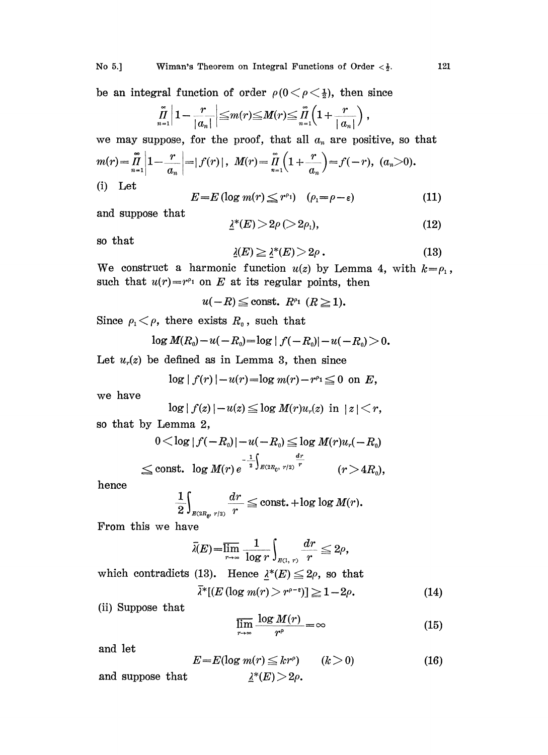be an integral function of order  $\rho(0 < \rho < \frac{1}{2})$ , then since

$$
\prod_{n=1}^{\infty} \left| 1 - \frac{r}{|a_n|} \right| \leq m(r) \leq M(r) \leq \prod_{n=1}^{\infty} \left( 1 + \frac{r}{|a_n|} \right)
$$

we may suppose, for the proof, that all  $a_n$  are positive, so that  $m(r) = \prod_{n=1}^{n} \left| 1 - \frac{r}{a} \right| = |f(r)|$ ,  $M(r) = \prod_{n=1}^{n} \left( 1 + \frac{r}{a} \right) = f(-r)$ ,  $(a_n > 0)$ 

$$
m(r) = \prod_{n=1}^{n} \left| 1 - \frac{1}{a_n} \right| = |f(r)|, \ \ M(r) = \prod_{n=1}^{n} \left( 1 + \frac{1}{a_n} \right) = f(-r), \ \ (a_n)
$$
\n(i) Let

$$
E = E (\log m(r) \leq r^{\rho_1}) \quad (\rho_1 = \rho - \varepsilon) \tag{11}
$$

and suppose that

$$
\underline{\lambda}^*(E) > 2\rho \, (>2\rho_1), \tag{12}
$$

so that

$$
\underline{\lambda}(E) \ge \underline{\lambda}^*(E) > 2\rho \,. \tag{13}
$$

We construct a harmonic function  $u(z)$  by Lemma 4, with  $k = \rho_1$ , such that  $u(r) = r^{p_1}$  on E at its regular points, then

 $u(-R) \leq$  const.  $R^{\rho_1}$   $(R \geq 1)$ .

Since  $\rho_1 < \rho$ , there exists  $R_0$ , such that

$$
\log M(R_0)-u(-R_0)=\log|f(-R_0)|-u(-R_0)\geq 0.
$$

Let  $u_r(z)$  be defined as in Lemma 3, then since

$$
\log |f(r)| - u(r) = \log m(r) - r^{p_1} \leq 0
$$
 on E,

we have

$$
\log |f(r)| - u(r) = \log m(r) - r^{r_1} \leq 0 \text{ on } E,
$$
  

$$
\log |f(z)| - u(z) \leq \log M(r)u_r(z) \text{ in } |z| < r,
$$

so that by Lemma 2,

$$
0 < \log |f(-R_0)| - u(-R_0) \le \log M(r)u_r(-R_0)
$$
  

$$
\le \text{const.} \log M(r) e^{-\frac{1}{2} \int_{B(2R_0, r/2)} \frac{dr}{r}} \qquad (r > 4R_0),
$$

hence

$$
\frac{1}{2}\int_{\mathbb{B}(2R_0 r/2)}\frac{dr}{r}\leq \text{const.}+\log\log M(r).
$$

From this we have

$$
\bar{\lambda}(E) = \overline{\lim_{r \to \infty}} \ \frac{1}{\log r} \int_{_{B(1, r)}} \frac{dr}{r} \leq 2\rho,
$$

which contradicts (13). Hence  $\lambda^*(E) \leq 2\rho$ , so that

$$
\overline{\lambda}^*[(E(\log m(r)) > r^{\rho - \epsilon})] \geq 1 - 2\rho. \tag{14}
$$

(ii) Suppose that

$$
\overline{\lim_{r \to \infty}} \frac{\log M(r)}{r^{\rho}} = \infty
$$
\n(15)

and let

and let  
\n
$$
E = E(\log m(r) \leq kr^{\rho}) \qquad (k > 0)
$$
\nand suppose that  
\n
$$
\lambda^*(E) > 2\rho.
$$
\n(16)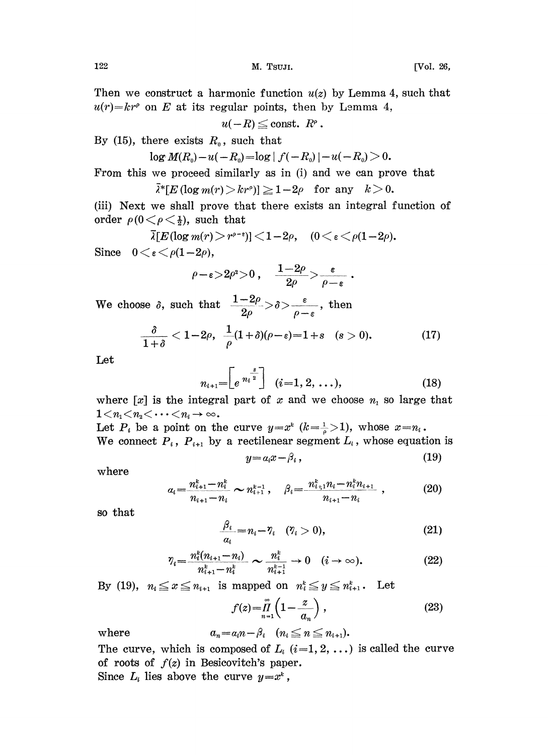Then we construct a harmonic function  $u(z)$  by Lemma 4, such that  $u(r) = kr^{\rho}$  on E at its regular points, then by Lemma 4,<br>  $u(-R) \leq$  const.  $R^{\rho}$ .

$$
u(-R)\leqq {\rm const.}\ \ R^\rho\,.
$$

By (15), there exists  $R_0$ , such that

$$
\log M(R_0)-u(-R_0)=\log|f(-R_0)|-u(-R_0)>0.
$$

From this we proceed similarly as in (i) and we can prove that<br>  $\bar{\lambda}^*[E(\log m(r) > kr^{\rho})] \geq 1-2\rho$  for any  $k > 0$ .

$$
\bar{k}^*[E(\log m(r) > kr^\rho)] \geq 1-2\rho \quad \text{for any} \quad k > 0.
$$

(iii) Next we shall prove that there exists an integral function of order  $\rho(0 < \rho < \frac{1}{2})$ , such that

$$
\overline{\lambda}[E(\log m(r) > r^{\rho-\epsilon})] < 1-2\rho, \quad (0 < \epsilon < \rho(1-2\rho).
$$

Since  $0 \lt \varepsilon \lt \rho(1-2\rho)$ ,

$$
\rho\!-\!\varepsilon\!>\!2\rho^{\rm z}\!>\!0\,,\quad \frac{1\!-\!2\rho}{2\rho}\!\!>\!\frac{\varepsilon}{\rho-\varepsilon}\,.
$$

We choose  $\delta$ , such that  $\frac{1-2\rho}{2\rho} > \delta > \frac{\varepsilon}{\rho-\varepsilon}$ , then

$$
\frac{\delta}{1+\delta}<1-2\rho,\ \frac{1}{\rho}(1+\delta)(\rho-\varepsilon)=1+s\quad(s>0). \hspace{1.5cm} (17)
$$

Let

$$
n_{i+1} = \left[e^{n_i^{\frac{s}{2}}}\right] \quad (i=1, 2, \ldots), \tag{18}
$$

where  $[x]$  is the integral part of x and we choose  $n_1$  so large that  $1 < n_1 < n_2 < \cdots < n_i \rightarrow \infty$ .

Let  $P_i$  be a point on the curve  $y=x^k$   $(k=\frac{1}{\rho}>1)$ , whose  $x=n_i$ . We connect  $P_i$ ,  $P_{i+1}$  by a rectilenear segment  $L_i$ , whose equation is

$$
y = a_i x - \beta_i , \qquad (19)
$$

where

$$
a_i = \frac{n_{i+1}^k - n_i^k}{n_{i+1} - n_i} \sim n_{i+1}^{k-1}, \quad \beta_i = \frac{n_{i+1}^k n_i - n_i^k n_{i+1}}{n_{i+1} - n_i}, \quad (20)
$$

so that

$$
\frac{\beta_i}{a_i} = n_i - \eta_i \quad (\eta_i > 0), \tag{21}
$$

$$
\eta_i = \frac{n_i^k (n_{i+1} - n_i)}{n_{i+1}^k - n_i^k} \sim \frac{n_i^k}{n_{i+1}^{k-1}} \to 0 \quad (i \to \infty).
$$
 (22)

By (19),  $n_i \leq x \leq n_{i+1}$  is mapped on  $n_i^k \leq y \leq n_{i+1}^k$ . Let

$$
f(z) = \prod_{n=1}^{\infty} \left( 1 - \frac{z}{a_n} \right),\tag{23}
$$

where  $a_n = a_i n - \beta_i \quad (n_i \leq n \leq n_{i+1}).$ The curve, which is composed of  $L_i$  (i=1, 2, ...) is called the curve of roots of  $f(z)$  in Besicovitch's paper.

Since  $L_i$  lies above the curve  $y=x^k$ ,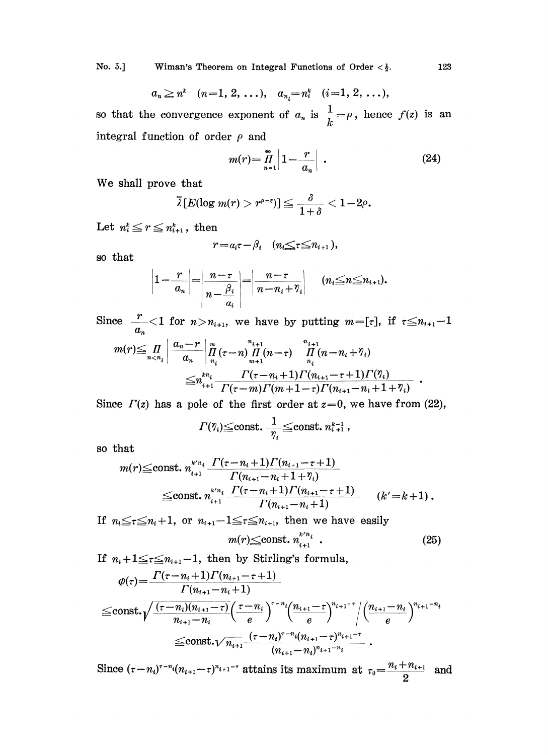No. 5.] Wiman's Theorem on Integral Functions of Order  $\langle \frac{1}{2} \rangle$ . 123

$$
a_n \ge n^k
$$
  $(n=1, 2, ...), a_{n_i} = n_i^k$   $(i=1, 2, ...),$ 

so that the convergence exponent of  $a_n$  is  $\frac{1}{k} = \rho$ , hence  $f(z)$  is an integral function of order  $\rho$  and

$$
m(r) = \prod_{n=1}^{\infty} \left| 1 - \frac{r}{a_n} \right| \tag{24}
$$

We shall prove that

$$
\bar{\lambda}\left[E(\log m(r) > r^{\rho-\varepsilon})\right] \leqq \frac{\delta}{1+\delta} < 1-2\rho.
$$

Let  $n_i^k \leq r \leq n_{i+1}^k$ , then

$$
r = a_i \tau - \beta_i \quad (n_i \leq \tau \leq n_{i+1}),
$$

so that

$$
\left|1-\frac{r}{a_n}\right|=\left|\frac{n-\tau}{n-\frac{\beta_i}{a_i}}\right|=\left|\frac{n-\tau}{n-n_i+\gamma_i}\right| \quad (n_i\leq n\leq n_{i+1}).
$$

Since  $\frac{r}{a_n}$  < 1 for  $n > n_{i+1}$ , we have by putting  $m = [\tau]$ , if  $\tau \leq n_{i+1} - 1$ 

$$
m(r) \leq \prod_{n < n_i} \left| \frac{a_n - r}{a_n} \right| \prod_{n_i}^m (\tau - n) \prod_{m+1}^{n_{i+1}} (n - \tau) \prod_{n_i}^{n_{i+1}} (n - n_i + \gamma_i) \\ \leq n_{i+1}^{kn_i} \frac{\Gamma(\tau - n_i + 1) \Gamma(n_{i+1} - \tau + 1) \Gamma(\gamma_i)}{\Gamma(\tau - m) \Gamma(m + 1 - \tau) \Gamma(n_{i+1} - n_i + 1 + \gamma_i)}.
$$

Since  $\Gamma(z)$  has a pole of the first order at  $z=0$ , we have from (22),

$$
\Gamma(\eta_i) \leq \text{const.} \frac{1}{\eta_i} \leq \text{const.} \; n_{i+1}^{k-1} \,,
$$

so that

$$
m(r) \leq \text{const.} \ n_{i+1}^{\kappa' n_i} \frac{\Gamma(\tau - n_i + 1)\Gamma(n_{i+1} - \tau + 1)}{\Gamma(n_{i+1} - n_i + 1 + \gamma_i)} \leq \text{const.} \ n_{i+1}^{\kappa' n_i} \frac{\Gamma(\tau - n_i + 1)\Gamma(n_{i+1} - \tau + 1)}{\Gamma(n_{i+1} - n_i + 1)} \qquad (k' = k + 1) .
$$

If  $n_i \leq \tau \leq n_i+1$ , or  $n_{i+1}-1 \leq \tau \leq n_{i+1}$ , then we have easily

$$
m(r) \leq \text{const.} \; n_{i+1}^{k \cdot n_i} \; . \tag{25}
$$

If  $n_i+1 \leq r \leq n_{i+1}-1$ , then by Stirling's formula,

$$
\varphi(\tau) = \frac{\Gamma(\tau - n_i + 1)\Gamma(n_{i+1} - \tau + 1)}{\Gamma(n_{i+1} - n_i + 1)} \leq \text{const.} \sqrt{\frac{(\tau - n_i)(n_{i+1} - \tau)}{n_{i+1} - n_i} \left(\frac{\tau - n_i}{e}\right)^{\tau - n_i} \left(\frac{n_{i+1} - \tau}{e}\right)^{n_{i+1} - \tau} / \left(\frac{n_{i+1} - n_i}{e}\right)^{n_{i+1} - n_i}} \leq \text{const.} \sqrt{n_{i+1}} \frac{(\tau - n_i)^{\tau - n_i} (n_{i+1} - \tau)^{n_{i+1} - \tau}}{(n_{i+1} - n_i)^{n_{i+1} - n_i}}.
$$

Since  $(\tau-n_i)^{\tau-n_i}(n_{i+1}-\tau)^{n_{i+1}-\tau}$  attains its maximum at  $\tau_0=\frac{n_i+n_{i+1}}{2}$  and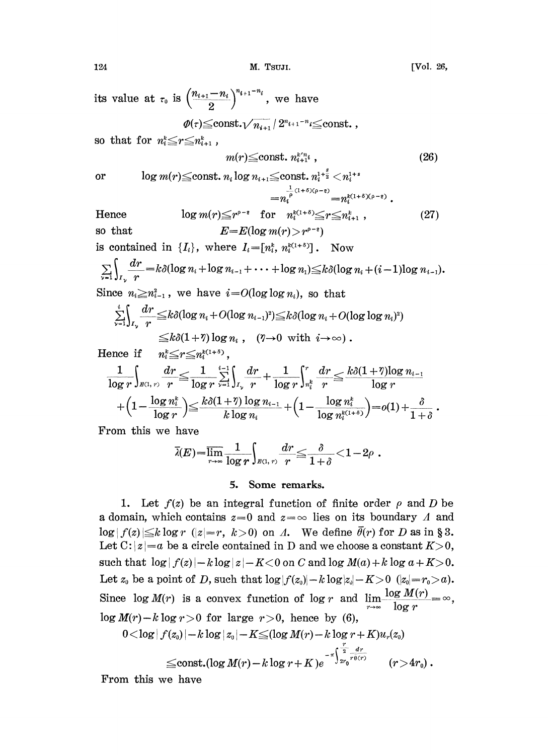its value at  $\tau_0$  is  $\left(\frac{n_{i+1}-n_i}{2}\right)^{n_{i+1}-n_i}$ , we have

$$
\phi(\tau) {\leq} \mathop{\rm const.}\nolimits {\sqrt {n_{i+1}}}\, /\, 2^{n_{i+1}-n_i}{\leq} \mathop{\rm const.}\nolimits \, ,
$$

so that for  $n_i \leq r \leq n_{i+1}^k$ ,

$$
m(r) \leq \text{const. } n_{i+1}^{k'n_i}, \qquad (26)
$$

or  $\log m(r) \leq \text{const.} \ n_i \log n_{i+1} \leq \text{const.} \ n_i^{1+\frac{s}{2}} < n_i^{1+s}$  $\stackrel{(1+\delta)(\rho-\epsilon)}{=} n_i^{k(1+\delta)(\rho-\epsilon)}$ 

Hence 
$$
\log m(r) \leq r^{\rho-\epsilon}
$$
 for  $n_i^{k(1+\delta)} \leq r \leq n_{i+1}^k$ , (27)  
so that  $E=E(\log m(r)) > r^{\rho-\epsilon}$ )

is contained in  $\{I_i\}$ , where  $I_i=[n_i^k, n_i^{k(1+\delta)}]$ . Now  $\sum_{\nu=1} \int_{I_{\nu}} \frac{dr}{r} = k\delta(\log n_i + \log n_{i-1} + \cdots + \log n_1) \leq k\delta(\log n_i + (i-1)\log n_{i-1}).$ Since  $n_i \geq n_{i-1}^2$ , we have  $i=O(\log \log n_i)$ , so that  $\frac{dr}{dt} \le k\delta(\log n_i + O(\log n_{i-1})^2) \le k\delta(\log n_i + O(\log\log n_i))^2$  $\leq k\delta(1 + \eta)\log n_i, \quad (\eta \rightarrow 0 \,\,\,\text{with} \,\,\, i \rightarrow \infty) \, .$ <br> $n_i^k \leq r \leq n_i^{k(1 + \delta)}$ ,

Hence if

log log log (+) <sup>1</sup> +3

From this we have

$$
\bar{\lambda}(E) {=} \overline{\lim_{r \to \infty}}\frac{1}{\log r} {\int_{\mathbb{B}(\mathsf{I},\; r)} \frac{dr}{r}} {\leq} \frac{\delta}{1+\delta} {<} 1{-}2\rho\;.
$$

### 5. Some remarks.

1. Let  $f(z)$  be an integral function of finite order  $\rho$  and D be a domain, which contains  $z=0$  and  $z=\infty$  lies on its boundary  $\Lambda$  and  $\log|f(z)| \leq k \log r$  ( $|z|=r$ ,  $k>0$ ) on A. We define  $\bar{\theta}(r)$  for D as in § 3. Let  $C: |z|=a$  be a circle contained in D and we choose a constant  $K>0$ , such that  $\log |f(z)| - k \log |z| - K < 0$  on C and  $\log M(a) + k \log a + K > 0$ . Let  $z_0$  be a point of D, such that  $\log|f(z_0)| - k \log|z_0| - K > 0$   $(|z_0| = r_0 > a)$ . Since  $\log M(r)$  is a convex function of  $\log r$  and  $\lim_{r \to \infty} \frac{\log M(r)}{\log r}$  $\log M(r) - k \log r > 0$  for large  $r > 0$ , hence by (6),

<sup>0</sup> <log f(zo) l- <sup>k</sup> log z0 I- K(log M(r) <sup>k</sup> log <sup>r</sup> + K)u,(zo) !2-- dr const.(log M(r) <sup>k</sup> log <sup>r</sup> + K)e 0 () (r <sup>&</sup>gt; 4ro).

From this we have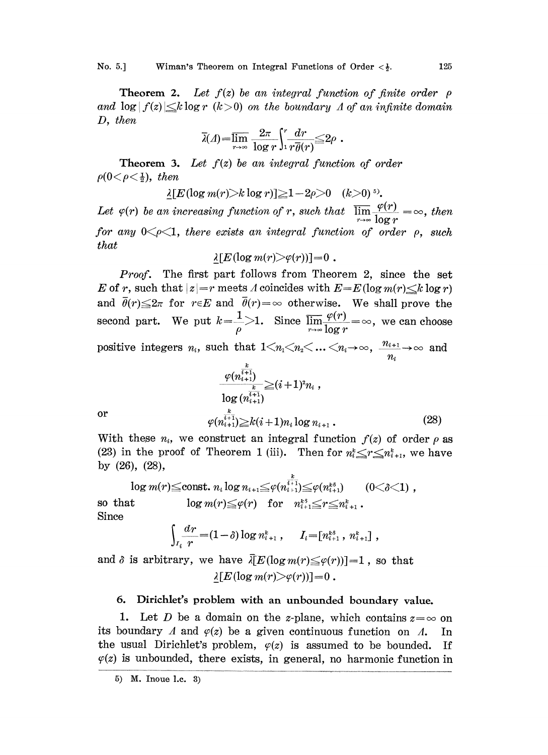No. 5.] Wiman's Theorem on Integral Functions of Order  $\langle \frac{1}{2} \rangle$ . 125

**Theorem 2.** Let  $f(z)$  be an integral function of finite order  $\rho$ and  $\log|f(z)| \leq k \log r$  (k > 0) on the boundary A of an infinite domain D, then

$$
\overline{\lambda}(A) = \overline{\lim}_{r \to \infty} \frac{2\pi}{\log r} \int_1^r \frac{dr}{r\overline{\theta}(r)} \leq 2\rho.
$$

**Theorem 3.** Let  $f(z)$  be an integral function of order  $\rho(0<\rho<\frac{1}{2})$ , then

 $\lambda[E(\log m(r)>k \log r)] \geq 1-2\rho>0 \quad (k>0)^5$ .

Let  $\varphi(r)$  be an increasing function of r, such that  $\overline{\lim_{r\to\infty}}\frac{\varphi(r)}{\log r} = \infty$ , then for any  $0\leq\rho\leq1$ , there exists an integral function of order  $\rho$ , such that

$$
\underline{\lambda}[E(\log m(r) > \varphi(r))] = 0.
$$

Proof. The first part follows from Theorem 2, since the set E of r, such that  $|z|=r$  meets A coincides with  $E=E(\log m(r)\leq k \log r)$ and  $\bar{\theta}(r) \leq 2\pi$  for  $r \in E$  and  $\bar{\theta}(r) = \infty$  otherwise. We shall prove the second part. We put  $k=\frac{1}{\rho}$ >1. Since  $\overline{\lim_{r\to\infty}}\frac{\varphi(r)}{\log r}=\infty$ , we can choose positive integers  $n_i$ , such that  $1 \leq n_1 \leq n_2 \leq \ldots \leq n_i \rightarrow \infty$ ,  $\frac{n_{i+1}}{n_i} \rightarrow \infty$  and  $\boldsymbol{k}$ 

$$
\frac{\varphi(n_{i+1}^{i+1})}{\log (n_{i+1}^{\overline{i+1}})} \geq (i+1)^2 n_i ,
$$
\nor

\n
$$
\varphi(n_{i+1}^{\frac{k}{i+1}}) \geq k(i+1) n_i \log n_{i+1} .
$$
\n(28)

With these  $n_i$ , we construct an integral function  $f(z)$  of order  $\rho$  as (23) in the proof of Theorem 1 (iii). Then for  $n_i^k \leq r \leq n_{i+1}^k$ , we have by (26), (28),

 $\log m(r) \leq \text{const.} \ n_i \log n_{i+1} \leq \varphi(n_{i+1}^{\frac{\kappa}{i+1}}) \leq \varphi(n_{i+1}^{\kappa \delta}) \qquad (0 < \delta < 1)$ , so that  $\log m(r) \leq \varphi(r)$  for  $n_{i+1}^{k^3} \leq r \leq n_{i+1}^k$ . Since

$$
\int_{I_i} \frac{dr}{r} = (1-\delta) \log n_{i+1}^k, \quad I_i = [n_{i+1}^{k\delta}, n_{i+1}^k],
$$

and  $\delta$  is arbitrary, we have  $\overline{\lambda}[E(\log m(r)\leq \varphi(r))]$ =1, so that  $\lambda[E(\log m(r) > \varphi(r))] = 0$ .

## 6. Dirichlet's problem with an unbounded boundary value.

1. Let D be a domain on the z-plane, which contains  $z=\infty$  on its boundary  $\Lambda$  and  $\varphi(z)$  be a given continuous function on  $\Lambda$ . In the usual Dirichlet's problem,  $\varphi(z)$  is assumed to be bounded. If  $\varphi(z)$  is unbounded, there exists, in general, no harmonic function in

<sup>5)</sup> M. Inoue 1.c. 3)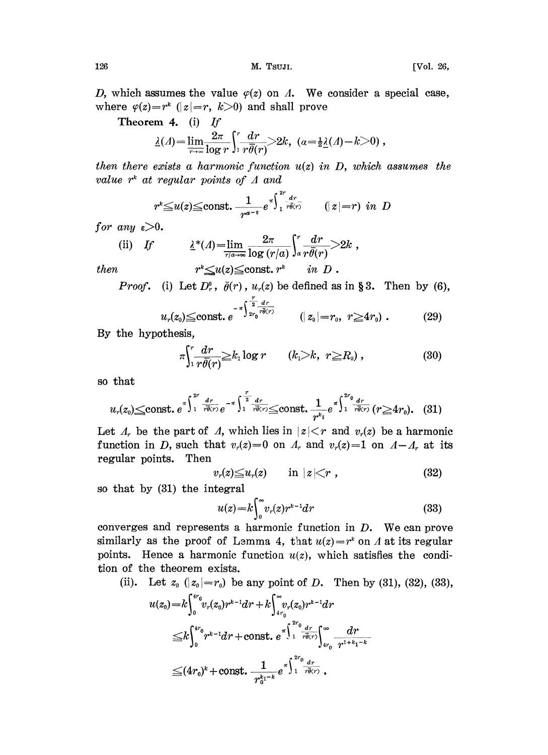126 M. Tsuji. [Vol. 26,

D, which assumes the value  $\varphi(z)$  on  $\Lambda$ . We consider a special case, where  $\varphi(z)=r^k$  ( $|z|=r$ ,  $k>0$ ) and shall prove

Theorem 4. (i) If

$$
\underline{\lambda}(A) = \lim_{\tau \to \infty} \frac{2\pi}{\log r} \int_1^r \frac{dr}{r\overline{\theta}(r)} > 2k, \quad (a = \frac{1}{2}\underline{\lambda}(A) - k > 0),
$$

then there exists a harmonic function  $u(z)$  in D, which assumes the value  $r^k$  at regular points of  $\Lambda$  and

$$
r^k{\leq}u(z){\leq}\text{const.}\ \frac{1}{r^{\alpha-3}}e^{\pi\int_1^2r\over r\overline{\theta}(r)}\qquad (|z|=r)\ \ in\ \ D
$$

for any  $\varepsilon > 0$ .

(ii) If 
$$
\underline{\lambda}^*(\Lambda) = \lim_{\overline{r/a \to \infty}} \frac{2\pi}{\log (r/a)} \int_a^r \frac{dr}{r\overline{\theta}(r)} > 2k,
$$
  
then 
$$
r^k \leq u(z) \leq \text{const. } r^k \quad in \ D.
$$

*Proof.* (i) Let  $D_r^0$ ,  $\bar{\theta}(r)$ ,  $u_r(z)$  be defined as in § 3. Then by (6),

$$
u_r(z_0) \leq \text{const.} \ e^{-\pi \int_{2r_0}^{\frac{r}{2}} \frac{dr}{r\bar{\theta}(r)}} \qquad (|z_0| = r_0, r \geq 4r_0) \ . \tag{29}
$$

By the hypothesis,

$$
\pi \Biggl\{\frac{dr}{r\bar{\theta}(r)} \geq k_1 \log r \qquad (k_1 > k, \ r \geq R_0) \ , \qquad (30)
$$

so that

$$
u_r(z_0) \leq \text{const. } e^{\pi \int_1^{2r} \frac{dr}{r \theta(r)}} e^{-\pi \int_1^{\frac{r}{2}} \frac{dr}{r \theta(r)}} \leq \text{const. } \frac{1}{r^{k_1}} e^{\pi \int_1^{2r_0} \frac{dr}{r \theta(r)}} (r \geq 4r_0). \quad (31)
$$

Let  $\Lambda_r$  be the part of  $\Lambda$ , which lies in  $|z| \leq r$  and  $v_r(z)$  be a harmonic function in D, such that  $v_r(z)=0$  on  $\Lambda_r$  and  $v_r(z)=1$  on  $\Lambda-\Lambda_r$  at its regular points. Then  $v_r(z) \le u_r(z)$  in  $|z| \le r$ , (32)<br>so that by (31) the integral regular points. Then

$$
v_r(z) \leq u_r(z) \qquad \text{in } |z| < r \tag{32}
$$

so that by (31) the integral

 $\ddot{\phantom{a}}$ 

$$
u(z) = k \int_0^\infty v_r(z) r^{k-1} dr \tag{33}
$$

converges and represents <sup>a</sup> harmonic function in D. We can prove similarly as the proof of Lemma 4, that  $u(z)=r^k$  on A at its regular points. Hence a harmonic function  $u(z)$ , which satisfies the condition of the theorem exists.

 $\overline{a}$ 

(ii). Let 
$$
z_0
$$
 ( $|z_0| = r_0$ ) be any point of *D*. Then by (31), (32), (33),

$$
u(z_0) = k \int_0^{4r_0} v_r(z_0) r^{k-1} dr + k \int_{4r_0}^{\infty} v_r(z_0) r^{k-1} dr
$$
  
\n
$$
\leq k \int_0^{4r_0} r^{k-1} dr + \text{const.} e^{-\int_1^{2r_0} \frac{dr}{r \theta(r)}} \int_{4r_0}^{\infty} \frac{dr}{r^{1+k_1-k}}
$$
  
\n
$$
\leq (4r_0)^k + \text{const.} \frac{1}{r_0^{k_1-k}} e^{-\int_1^{2r_0} \frac{dr}{r \theta(r)}}.
$$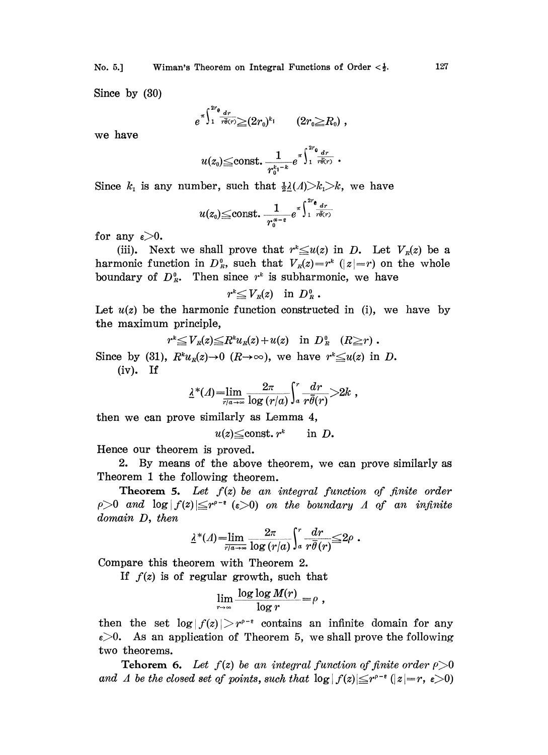No. 5.] Wiman's Theorem on Integral Functions of Order  $\langle \frac{1}{2} \rangle$ .

Since by (30)

$$
e^{\pi\int_1^{2r_\theta} \frac{dr}{r\overline{\theta}(r)}\geq (2r_0)^{k_1}} \qquad (2r_0 \geq R_0) ,
$$

we have

$$
u(z_0) \leq \text{const.} \, \frac{1}{r_0^{k_1-k}} e^{\pi \int_1^{2r_0} \frac{dr}{r \overline{\theta}(r)}} \, .
$$

Since  $k_1$  is any number, such that  $\frac{1}{2}\underline{\lambda}(\Lambda) > k_1 > k$ , we have

$$
u(z_0) \leq \text{const.}~\frac{1}{r_0^{\alpha-\varepsilon}}e^{x\int_1^{2r} \frac{dr}{r\theta(r)}}
$$

for any  $\varepsilon > 0$ .

(iii). Next we shall prove that  $r^* \le u(z)$  in D. Let  $V_R(z)$  be a harmonic function in  $D_R^0$ , such that  $V_R(z)=r^k$  ( $|z|=r$ ) on the whole boundary of  $D_R^0$ . Then since  $r^k$  is subharmonic, we have

$$
r^k {\leq} V_{\scriptscriptstyle R}(z) \quad \text{in} \ \ D^{\scriptscriptstyle 0}_{\scriptscriptstyle R} \ .
$$

Let  $u(z)$  be the harmonic function constructed in (i), we have by the maximum principle,

$$
\text{principle,}
$$
\n
$$
r^* \leq V_R(z) \leq R^k u_R(z) + u(z) \quad \text{in } D_R^0 \quad (R \geq r) \, .
$$

Since by (31),  $R^k u_n(z) \to 0$   $(R \to \infty)$ , we have  $r^k \le u(z)$  in D.  $(iv)$ . If

$$
\underline{\lambda}^*(\Lambda) = \lim_{\overline{r/a} \to \infty} \frac{2\pi}{\log (r/a)} \int_a^r \frac{dr}{r\overline{\theta}(r)} > 2k,
$$

then we can prove similarly as Lemma 4,

$$
u(z) \leq \text{const. } r^k \qquad \text{in } D.
$$

Hence our theorem is proved.

2. By means of the above theorem, we can prove similarly as Theorem <sup>1</sup> the following theorem.

**Theorem 5.** Let  $f(z)$  be an integral function of finite order  $\rho > 0$  and  $\log |f(z)| \leq r^{\rho-\epsilon}$  ( $\epsilon > 0$ ) on the boundary A of an infinite domain D, then

$$
\underline{\lambda}^*(\Lambda) = \lim_{\overline{r/a} \to \infty} \frac{2\pi}{\log(r/a)} \int_a^r \frac{dr}{r\overline{\theta}(r)} \leq 2\rho.
$$

Compare this theorem with Theorem 2.

If  $f(z)$  is of regular growth, such that

$$
\lim_{r\to\infty}\frac{\log\log M(r)}{\log r}=\rho,
$$

then the set  $log|f(z)| > r^{p-\epsilon}$  contains an infinite domain for any then the set  $\log|f(z)| > r^{p-\epsilon}$  contains an infinite domain for any  $\epsilon > 0$ . As an application of Theorem 5, we shall prove the following two theorems.

**Tehorem 6.** Let  $f(z)$  be an integral function of finite order  $\rho > 0$ and  $\varLambda$  be the closed set of points, such that  $\log|f(z)| \leq r^{\rho-\epsilon}$  ( $|z| = r$ ,

$$
127\\
$$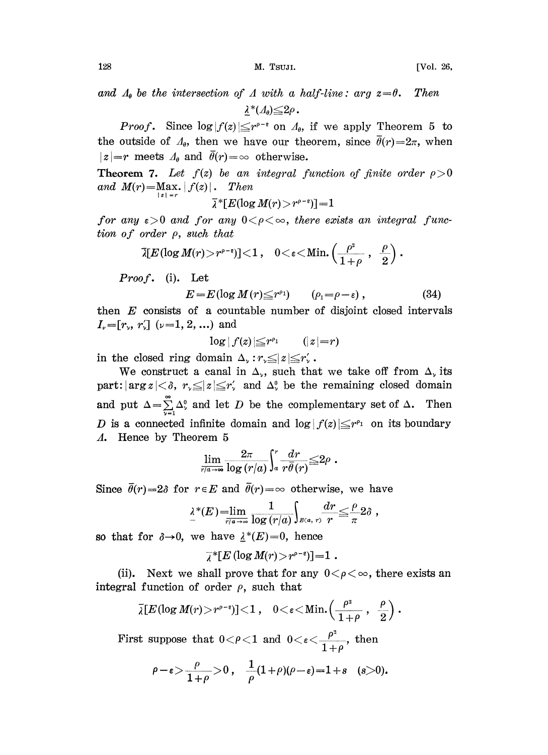and  $\Lambda_{\theta}$  be the intersection of A with a half-line: arg  $z=\theta$ . Then  $\lambda^*(\Lambda_{\theta}){\leq}2\rho$ .

*Proof.* Since  $\log |f(z)| \leq r^{\rho-\epsilon}$  on  $A_{\theta}$ , if we apply Theorem 5 to outside of  $A_{\theta}$ , then we have our theorem, since  $\overline{\theta}(r) = 2\pi$ , when the outside of  $\Lambda_{\theta}$ , then we have our theorem, since  $\bar{\theta}(r)=2\pi$ , when  $|z|=r$  meets  $\Lambda_{\theta}$  and  $\bar{\theta}(r)=\infty$  otherwise.

**Theorem 7.** Let  $f(z)$  be an integral function of finite order  $\rho > 0$  and  $M(r) = \text{Max.} |f(z)|$ . Then and  $M(r) = \max_{|z| = r} |f(z)|$ .

$$
\bar{\lambda}^*[E(\log M(r) > r^{\rho-\epsilon})] = 1
$$

for any  $\varepsilon > 0$  and for any  $0 < \rho < \infty$ , there exists an integral function of order p, such that

$$
\bar{\lambda}[E(\log M(r){>}\,r^{\rho-e})]{<}1\,,\quad 0{<}\varepsilon{<}\mathrm{Min.}\left(\frac{\rho^2}{1+\rho}\;,\;\;\frac{\rho}{2}\right).
$$

 $Proof.$  (i). Let

$$
E = E(\log M(r) \leq r^{\rho_1}) \qquad (\rho_1 = \rho - \varepsilon) , \qquad (34)
$$

then  $E$  consists of a countable number of disjoint closed intervals  $I_{\nu}=[r_{\nu}, r_{\nu}'] \ (\nu=1, 2, ...)$  and

$$
\log|f(z)| \leq r^{\rho_1} \qquad (|z| = r)
$$

in the closed ring domain  $\Delta_{\nu}: r_{\nu} \leq |z| \leq r_{\nu}'$ .

We construct a canal in  $\Delta_{\nu}$ , such that we take off from  $\Delta_{\nu}$  its part:  $|\arg z| < \delta$ ,  $r_{\gamma} \leq |z| \leq r'_{\gamma}$  and  $\Delta_{\gamma}^{0}$  be the remaining closed domain and put  $\Delta = \sum_{\alpha=1}^{\infty} \Delta_{\alpha}^0$  and let D be the complementary set of  $\Delta$ . Then D is a connected infinite domain and  $\log |f(z)| \leq r^{p_1}$  on its boundary A. Hence by Theorem 5

$$
\lim_{\overline{r/a\to\infty}}\frac{2\pi}{\log\left(r/a\right)}\!\int_a^r\!\frac{dr}{r\bar{\theta}(r)}\!\!\leq\!\!2\rho\;.
$$

Since  $\bar{\theta}(r)=2\delta$  for  $r \in E$  and  $\bar{\theta}(r)=\infty$  otherwise, we have

$$
\lambda^*(E) = \lim_{\overline{r/a} \to \infty} \frac{1}{\log(r/a)} \int_{B(a, r)} \frac{dr}{r} \leq \frac{\rho}{\pi} 2\delta,
$$

so that for  $\delta \rightarrow 0$ , we have  $\lambda^*(E)=0$ , hence

$$
\bar{\lambda}^*[E(\log M(r)) > r^{\rho-\epsilon}] = 1.
$$

(ii). Next we shall prove that for any  $0 < \rho < \infty$ , there exists an integral function of order  $\rho$ , such that

$$
\bar{\lambda}[E(\log M(r) > r^{\rho-\epsilon})] < 1 , \quad 0 < \epsilon < \text{Min.}\left(\frac{\rho^2}{1+\rho} , \frac{\rho}{2}\right).
$$

First suppose that  $0 < \rho < 1$  and  $0 < \varepsilon < \frac{\rho^2}{1+\rho}$ , then

$$
\rho-\varepsilon>\frac{\rho}{1+\rho}>0\;,\quad \frac{1}{\rho}(1+\rho)(\rho-\varepsilon)=1+s\quad (s>0).
$$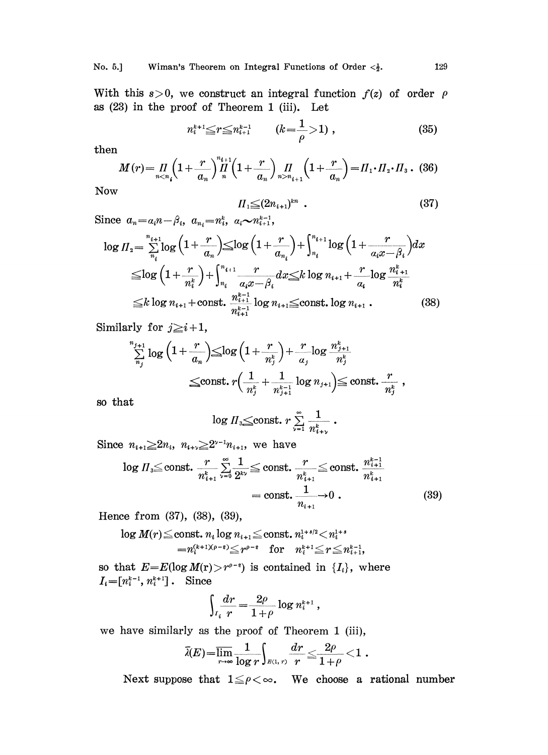With this  $s > 0$ , we construct an integral function  $f(z)$  of order  $\rho$ as (23) in the proof of Theorem 1 (iii). Let

$$
n_i^{k+1} \le r \le n_{i+1}^{k-1} \qquad (k = \frac{1}{\rho} > 1) , \qquad (35)
$$

then

$$
M(r) = \prod_{n < n_i} \left(1 + \frac{r}{a_n}\right) \prod_{n=1}^{n_{i+1}} \left(1 + \frac{r}{a_n}\right) \prod_{n > n_{i+1}} \left(1 + \frac{r}{a_n}\right) = \prod_{1} \cdot \prod_{2} \cdot \prod_{3} \,. \tag{36}
$$

:Now

$$
\Pi_1 \leq (2n_{i+1})^{kn} \quad . \tag{37}
$$

Since 
$$
a_n = a_i n - \beta_i
$$
,  $a_{n_i} = n_i^k$ ,  $a_i \sim n_{i+1}^{k-1}$ ,  
\n
$$
\log \Pi_2 = \sum_{n_i}^{n_{i+1}} \log \left( 1 + \frac{r}{a_n} \right) \le \log \left( 1 + \frac{r}{a_{n_i}} \right) + \int_{n_i}^{n_{i+1}} \log \left( 1 + \frac{r}{a_i x - \beta_i} \right) dx
$$
\n
$$
\le \log \left( 1 + \frac{r}{n_i^k} \right) + \int_{n_i}^{n_{i+1}} \frac{r}{a_i x - \beta_i} dx \le k \log n_{i+1} + \frac{r}{a_i} \log \frac{n_i^k}{n_i^k}
$$
\n
$$
\le k \log n_{i+1} + \text{const.} \frac{n_i^{k-1}}{n_i^{k-1}} \log n_{i+1} \le \text{const.} \log n_{i+1}.
$$
\n(38)

Similarly for  $j \geq i+1$ ,

$$
\begin{aligned} &\sum_{n_j}^{n_{j+1}}\log\Big(1+\frac{r}{a_n}\Big)\!\!\leq\!\!\log\Big(1+\frac{r}{n_j^k}\Big)\!+\!\frac{r}{a_j}\!\log\frac{n_{j+1}^k}{n_j^k} \ &\leq\!\! \text{const.}\;r\Big(\frac{1}{n_j^k}+\frac{1}{n_{j+1}^{k-1}}\log n_{j+1}\Big)\!\!\leq\!\text{const.}\;\frac{r}{n_j^k}\;, \end{aligned}
$$

so that

$$
\log \Pi_{3} \leq \text{const.} \ r \sum_{\nu=1}^{\infty} \frac{1}{n_{i+\nu}^{k}} \ .
$$

Since  $n_{i+1} \geq 2n_i$ ,  $n_{i+\nu} \geq 2^{\nu-1}n_{i+1}$ , we have

$$
\log \Pi_{3} \leq \text{const.} \frac{r}{n_{i+1}^{k}} \sum_{\nu=0}^{\infty} \frac{1}{2^{k\nu}} \leq \text{const.} \frac{r}{n_{i+1}^{k}} \leq \text{const.} \frac{n_{i+1}^{k-1}}{n_{i+1}^{k}}
$$

$$
= \text{const.} \frac{1}{n_{i+1}} \to 0 . \tag{39}
$$

Hence from  $(37)$ ,  $(38)$ ,  $(39)$ ,

$$
\log M(r) \leq \text{const.} \ n_i \log n_{i+1} \leq \text{const.} \ n_i^{1+s/2} < n_i^{1+s} \\ = \! n_i^{(k+1)\ell\rho - \varepsilon} \!\!\! \leq \! r^{\rho - \varepsilon} \quad \text{for} \quad n_i^{k+1} \!\!\leq \! r \! \leq \! n_{i+1}^{k-1} \!\! .
$$

so that  $E=E(\log M(r)>r^{\rho-\epsilon})$  is contained in  $\{I_i\}$ , where  $I_i=[n_i^{k-1}, n_i^{k+1}]$ . Since

$$
\int_{I_i} \frac{dr}{r} = \frac{2\rho}{1+\rho} \log n_i^{k+1} ,
$$

we have similarly as the proof of Theorem 1 (iii),

$$
\bar{\lambda}(E){=}\overline{\lim_{r\to\infty}}\frac{1}{\log r}\!\!\int_{\mathbb{R}(1,\,r)}\!\frac{dr}{r}\!\leq\!\frac{2\rho}{1\!+\!\rho}\!<\!1\;.
$$

Next suppose that  $1 \leq \rho < \infty$ . We choose a rational number